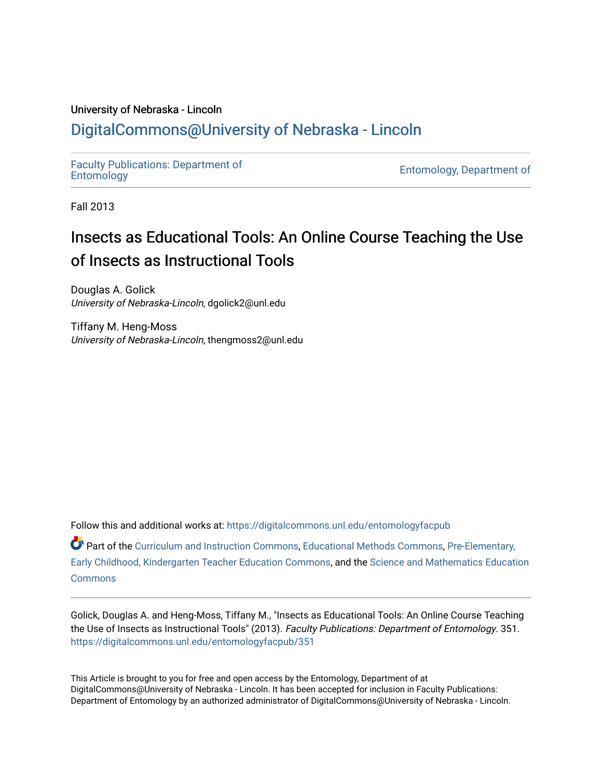## University of Nebraska - Lincoln

# [DigitalCommons@University of Nebraska - Lincoln](https://digitalcommons.unl.edu/)

[Faculty Publications: Department of](https://digitalcommons.unl.edu/entomologyfacpub) 

[Entomology](https://digitalcommons.unl.edu/entomologyfacpub), Department of

Fall 2013

# Insects as Educational Tools: An Online Course Teaching the Use of Insects as Instructional Tools

Douglas A. Golick University of Nebraska-Lincoln, dgolick2@unl.edu

Tiffany M. Heng-Moss University of Nebraska-Lincoln, thengmoss2@unl.edu

Follow this and additional works at: [https://digitalcommons.unl.edu/entomologyfacpub](https://digitalcommons.unl.edu/entomologyfacpub?utm_source=digitalcommons.unl.edu%2Fentomologyfacpub%2F351&utm_medium=PDF&utm_campaign=PDFCoverPages)

Part of the [Curriculum and Instruction Commons,](http://network.bepress.com/hgg/discipline/786?utm_source=digitalcommons.unl.edu%2Fentomologyfacpub%2F351&utm_medium=PDF&utm_campaign=PDFCoverPages) [Educational Methods Commons,](http://network.bepress.com/hgg/discipline/1227?utm_source=digitalcommons.unl.edu%2Fentomologyfacpub%2F351&utm_medium=PDF&utm_campaign=PDFCoverPages) [Pre-Elementary,](http://network.bepress.com/hgg/discipline/808?utm_source=digitalcommons.unl.edu%2Fentomologyfacpub%2F351&utm_medium=PDF&utm_campaign=PDFCoverPages) [Early Childhood, Kindergarten Teacher Education Commons](http://network.bepress.com/hgg/discipline/808?utm_source=digitalcommons.unl.edu%2Fentomologyfacpub%2F351&utm_medium=PDF&utm_campaign=PDFCoverPages), and the [Science and Mathematics Education](http://network.bepress.com/hgg/discipline/800?utm_source=digitalcommons.unl.edu%2Fentomologyfacpub%2F351&utm_medium=PDF&utm_campaign=PDFCoverPages) **[Commons](http://network.bepress.com/hgg/discipline/800?utm_source=digitalcommons.unl.edu%2Fentomologyfacpub%2F351&utm_medium=PDF&utm_campaign=PDFCoverPages)** 

Golick, Douglas A. and Heng-Moss, Tiffany M., "Insects as Educational Tools: An Online Course Teaching the Use of Insects as Instructional Tools" (2013). Faculty Publications: Department of Entomology. 351. [https://digitalcommons.unl.edu/entomologyfacpub/351](https://digitalcommons.unl.edu/entomologyfacpub/351?utm_source=digitalcommons.unl.edu%2Fentomologyfacpub%2F351&utm_medium=PDF&utm_campaign=PDFCoverPages)

This Article is brought to you for free and open access by the Entomology, Department of at DigitalCommons@University of Nebraska - Lincoln. It has been accepted for inclusion in Faculty Publications: Department of Entomology by an authorized administrator of DigitalCommons@University of Nebraska - Lincoln.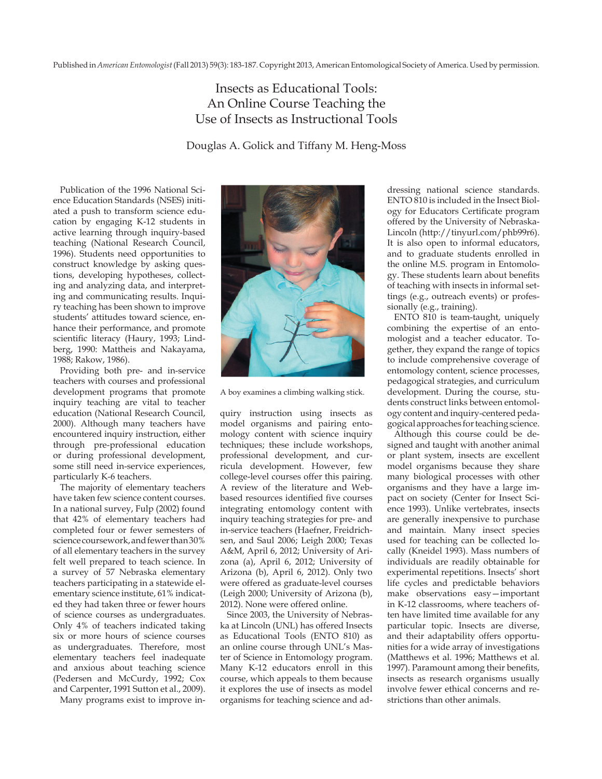## Insects as Educational Tools: An Online Course Teaching the Use of Insects as Instructional Tools

Douglas A. Golick and Tiffany M. Heng-Moss

Publication of the 1996 National Science Education Standards (NSES) initiated a push to transform science education by engaging K-12 students in active learning through inquiry-based teaching (National Research Council, 1996). Students need opportunities to construct knowledge by asking questions, developing hypotheses, collecting and analyzing data, and interpreting and communicating results. Inquiry teaching has been shown to improve students' attitudes toward science, enhance their performance, and promote scientific literacy (Haury, 1993; Lindberg, 1990: Mattheis and Nakayama, 1988; Rakow, 1986).

Providing both pre- and in-service teachers with courses and professional development programs that promote inquiry teaching are vital to teacher education (National Research Council, 2000). Although many teachers have encountered inquiry instruction, either through pre-professional education or during professional development, some still need in-service experiences, particularly K-6 teachers.

The majority of elementary teachers have taken few science content courses. In a national survey, Fulp (2002) found that 42% of elementary teachers had completed four or fewer semesters of science coursework, and fewer than 30% of all elementary teachers in the survey felt well prepared to teach science. In a survey of 57 Nebraska elementary teachers participating in a statewide elementary science institute, 61% indicated they had taken three or fewer hours of science courses as undergraduates. Only 4% of teachers indicated taking six or more hours of science courses as undergraduates. Therefore, most elementary teachers feel inadequate and anxious about teaching science (Pedersen and McCurdy, 1992; Cox and Carpenter, 1991 Sutton et al., 2009).

Many programs exist to improve in-



A boy examines a climbing walking stick.

quiry instruction using insects as model organisms and pairing entomology content with science inquiry techniques; these include workshops, professional development, and curricula development. However, few college-level courses offer this pairing. A review of the literature and Webbased resources identified five courses integrating entomology content with inquiry teaching strategies for pre- and in-service teachers (Haefner, Freidrichsen, and Saul 2006; Leigh 2000; Texas A&M, April 6, 2012; University of Arizona (a), April 6, 2012; University of Arizona (b), April 6, 2012). Only two were offered as graduate-level courses (Leigh 2000; University of Arizona (b), 2012). None were offered online.

Since 2003, the University of Nebraska at Lincoln (UNL) has offered Insects as Educational Tools (ENTO 810) as an online course through UNL's Master of Science in Entomology program. Many K-12 educators enroll in this course, which appeals to them because it explores the use of insects as model organisms for teaching science and addressing national science standards. ENTO 810 is included in the Insect Biology for Educators Certificate program offered by the University of Nebraska-Lincoln (http://tinyurl.com/phb99r6). It is also open to informal educators, and to graduate students enrolled in the online M.S. program in Entomology. These students learn about benefits of teaching with insects in informal settings (e.g., outreach events) or professionally (e.g., training).

ENTO 810 is team-taught, uniquely combining the expertise of an entomologist and a teacher educator. Together, they expand the range of topics to include comprehensive coverage of entomology content, science processes, pedagogical strategies, and curriculum development. During the course, students construct links between entomology content and inquiry-centered pedagogical approaches for teaching science.

Although this course could be designed and taught with another animal or plant system, insects are excellent model organisms because they share many biological processes with other organisms and they have a large impact on society (Center for Insect Science 1993). Unlike vertebrates, insects are generally inexpensive to purchase and maintain. Many insect species used for teaching can be collected locally (Kneidel 1993). Mass numbers of individuals are readily obtainable for experimental repetitions. Insects' short life cycles and predictable behaviors make observations easy—important in K-12 classrooms, where teachers often have limited time available for any particular topic. Insects are diverse, and their adaptability offers opportunities for a wide array of investigations (Matthews et al. 1996; Matthews et al. 1997). Paramount among their benefits, insects as research organisms usually involve fewer ethical concerns and restrictions than other animals.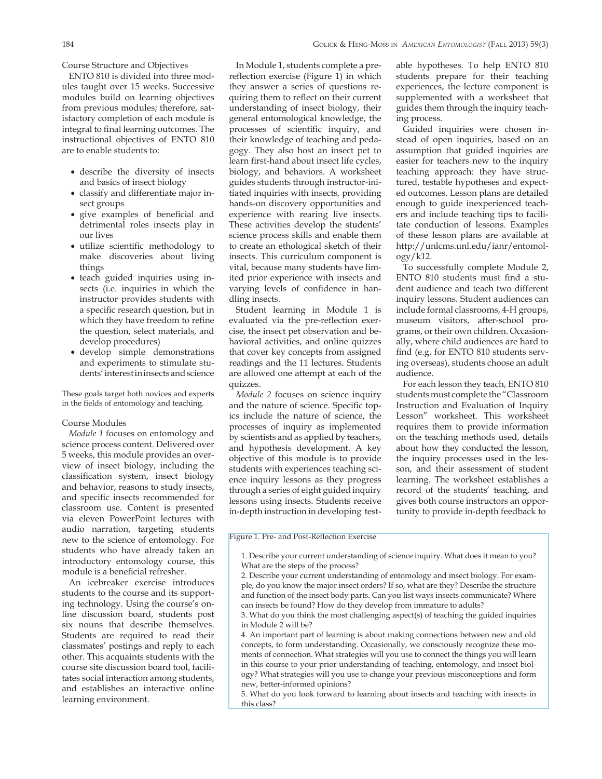Course Structure and Objectives

ENTO 810 is divided into three modules taught over 15 weeks. Successive modules build on learning objectives from previous modules; therefore, satisfactory completion of each module is integral to final learning outcomes. The instructional objectives of ENTO 810 are to enable students to:

- • describe the diversity of insects and basics of insect biology
- • classify and differentiate major insect groups
- give examples of beneficial and detrimental roles insects play in our lives
- utilize scientific methodology to make discoveries about living things
- teach guided inquiries using insects (i.e. inquiries in which the instructor provides students with a specific research question, but in which they have freedom to refine the question, select materials, and develop procedures)
- • develop simple demonstrations and experiments to stimulate students' interest in insects and science

These goals target both novices and experts in the fields of entomology and teaching.

#### Course Modules

*Module 1* focuses on entomology and science process content. Delivered over 5 weeks, this module provides an overview of insect biology, including the classification system, insect biology and behavior, reasons to study insects, and specific insects recommended for classroom use. Content is presented via eleven PowerPoint lectures with audio narration, targeting students new to the science of entomology. For students who have already taken an introductory entomology course, this module is a beneficial refresher.

An icebreaker exercise introduces students to the course and its supporting technology. Using the course's online discussion board, students post six nouns that describe themselves. Students are required to read their classmates' postings and reply to each other. This acquaints students with the course site discussion board tool, facilitates social interaction among students, and establishes an interactive online learning environment.

In Module 1, students complete a prereflection exercise (Figure 1) in which they answer a series of questions requiring them to reflect on their current understanding of insect biology, their general entomological knowledge, the processes of scientific inquiry, and their knowledge of teaching and pedagogy. They also host an insect pet to learn first-hand about insect life cycles, biology, and behaviors. A worksheet guides students through instructor-initiated inquiries with insects, providing hands-on discovery opportunities and experience with rearing live insects. These activities develop the students' science process skills and enable them to create an ethological sketch of their insects. This curriculum component is vital, because many students have limited prior experience with insects and varying levels of confidence in handling insects.

Student learning in Module 1 is evaluated via the pre-reflection exercise, the insect pet observation and behavioral activities, and online quizzes that cover key concepts from assigned readings and the 11 lectures. Students are allowed one attempt at each of the quizzes.

*Module 2* focuses on science inquiry and the nature of science. Specific topics include the nature of science, the processes of inquiry as implemented by scientists and as applied by teachers, and hypothesis development. A key objective of this module is to provide students with experiences teaching science inquiry lessons as they progress through a series of eight guided inquiry lessons using insects. Students receive in-depth instruction in developing testable hypotheses. To help ENTO 810 students prepare for their teaching experiences, the lecture component is supplemented with a worksheet that guides them through the inquiry teaching process.

Guided inquiries were chosen instead of open inquiries, based on an assumption that guided inquiries are easier for teachers new to the inquiry teaching approach: they have structured, testable hypotheses and expected outcomes. Lesson plans are detailed enough to guide inexperienced teachers and include teaching tips to facilitate conduction of lessons. Examples of these lesson plans are available at http://unlcms.unl.edu/ianr/entomology/k12.

To successfully complete Module 2, ENTO 810 students must find a student audience and teach two different inquiry lessons. Student audiences can include formal classrooms, 4-H groups, museum visitors, after-school programs, or their own children. Occasionally, where child audiences are hard to find (e.g. for ENTO 810 students serving overseas), students choose an adult audience.

For each lesson they teach, ENTO 810 students must complete the "Classroom Instruction and Evaluation of Inquiry Lesson" worksheet. This worksheet requires them to provide information on the teaching methods used, details about how they conducted the lesson, the inquiry processes used in the lesson, and their assessment of student learning. The worksheet establishes a record of the students' teaching, and gives both course instructors an opportunity to provide in-depth feedback to

#### Figure 1. Pre- and Post-Reflection Exercise

1. Describe your current understanding of science inquiry. What does it mean to you? What are the steps of the process?

2. Describe your current understanding of entomology and insect biology. For example, do you know the major insect orders? If so, what are they? Describe the structure and function of the insect body parts. Can you list ways insects communicate? Where can insects be found? How do they develop from immature to adults?

4. An important part of learning is about making connections between new and old concepts, to form understanding. Occasionally, we consciously recognize these moments of connection. What strategies will you use to connect the things you will learn in this course to your prior understanding of teaching, entomology, and insect biology? What strategies will you use to change your previous misconceptions and form new, better-informed opinions?

5. What do you look forward to learning about insects and teaching with insects in this class?

<sup>3.</sup> What do you think the most challenging aspect(s) of teaching the guided inquiries in Module 2 will be?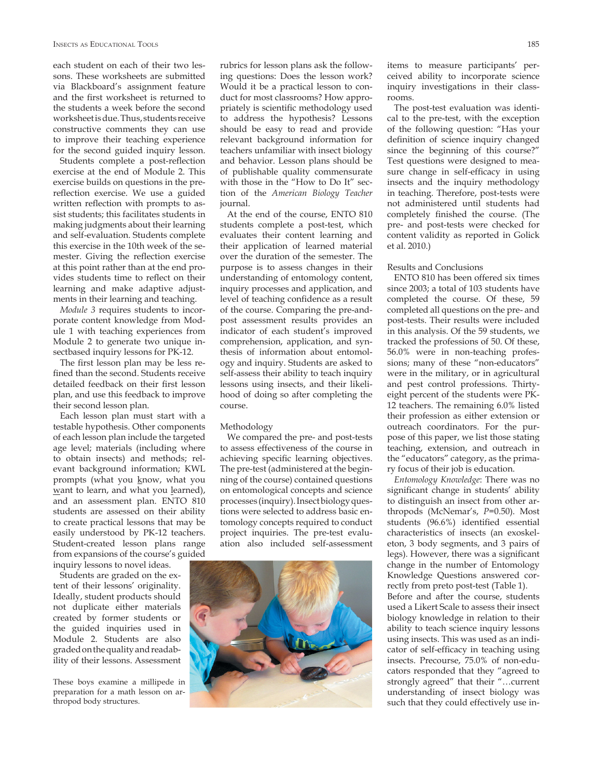each student on each of their two lessons. These worksheets are submitted via Blackboard's assignment feature and the first worksheet is returned to the students a week before the second worksheet is due. Thus, students receive constructive comments they can use to improve their teaching experience for the second guided inquiry lesson.

Students complete a post-reflection exercise at the end of Module 2. This exercise builds on questions in the prereflection exercise. We use a guided written reflection with prompts to assist students; this facilitates students in making judgments about their learning and self-evaluation. Students complete this exercise in the 10th week of the semester. Giving the reflection exercise at this point rather than at the end provides students time to reflect on their learning and make adaptive adjustments in their learning and teaching.

*Module 3* requires students to incorporate content knowledge from Module 1 with teaching experiences from Module 2 to generate two unique insectbased inquiry lessons for PK-12.

The first lesson plan may be less refined than the second. Students receive detailed feedback on their first lesson plan, and use this feedback to improve their second lesson plan.

Each lesson plan must start with a testable hypothesis. Other components of each lesson plan include the targeted age level; materials (including where to obtain insects) and methods; relevant background information; KWL prompts (what you know, what you want to learn, and what you learned), and an assessment plan. ENTO 810 students are assessed on their ability to create practical lessons that may be easily understood by PK-12 teachers. Student-created lesson plans range from expansions of the course's guided inquiry lessons to novel ideas.

Students are graded on the extent of their lessons' originality. Ideally, student products should not duplicate either materials created by former students or the guided inquiries used in Module 2. Students are also graded on the quality and readability of their lessons. Assessment

These boys examine a millipede in preparation for a math lesson on arthropod body structures.

rubrics for lesson plans ask the following questions: Does the lesson work? Would it be a practical lesson to conduct for most classrooms? How appropriately is scientific methodology used to address the hypothesis? Lessons should be easy to read and provide relevant background information for teachers unfamiliar with insect biology and behavior. Lesson plans should be of publishable quality commensurate with those in the "How to Do It" section of the *American Biology Teacher* journal.

At the end of the course, ENTO 810 students complete a post-test, which evaluates their content learning and their application of learned material over the duration of the semester. The purpose is to assess changes in their understanding of entomology content, inquiry processes and application, and level of teaching confidence as a result of the course. Comparing the pre-andpost assessment results provides an indicator of each student's improved comprehension, application, and synthesis of information about entomology and inquiry. Students are asked to self-assess their ability to teach inquiry lessons using insects, and their likelihood of doing so after completing the course.

### Methodology

We compared the pre- and post-tests to assess effectiveness of the course in achieving specific learning objectives. The pre-test (administered at the beginning of the course) contained questions on entomological concepts and science processes (inquiry). Insect biology questions were selected to address basic entomology concepts required to conduct project inquiries. The pre-test evaluation also included self-assessment



items to measure participants' perceived ability to incorporate science inquiry investigations in their classrooms.

The post-test evaluation was identical to the pre-test, with the exception of the following question: "Has your definition of science inquiry changed since the beginning of this course?" Test questions were designed to measure change in self-efficacy in using insects and the inquiry methodology in teaching. Therefore, post-tests were not administered until students had completely finished the course. (The pre- and post-tests were checked for content validity as reported in Golick et al. 2010.)

#### Results and Conclusions

ENTO 810 has been offered six times since 2003; a total of 103 students have completed the course. Of these, 59 completed all questions on the pre- and post-tests. Their results were included in this analysis. Of the 59 students, we tracked the professions of 50. Of these, 56.0% were in non-teaching professions; many of these "non-educators" were in the military, or in agricultural and pest control professions. Thirtyeight percent of the students were PK-12 teachers. The remaining 6.0% listed their profession as either extension or outreach coordinators. For the purpose of this paper, we list those stating teaching, extension, and outreach in the "educators" category, as the primary focus of their job is education.

*Entomology Knowledge*: There was no significant change in students' ability to distinguish an insect from other arthropods (McNemar's, *P*=0.50). Most students (96.6%) identified essential characteristics of insects (an exoskeleton, 3 body segments, and 3 pairs of legs). However, there was a significant change in the number of Entomology Knowledge Questions answered correctly from preto post-test (Table 1). Before and after the course, students used a Likert Scale to assess their insect biology knowledge in relation to their ability to teach science inquiry lessons using insects. This was used as an indicator of self-efficacy in teaching using insects. Precourse, 75.0% of non-educators responded that they "agreed to strongly agreed" that their "…current understanding of insect biology was such that they could effectively use in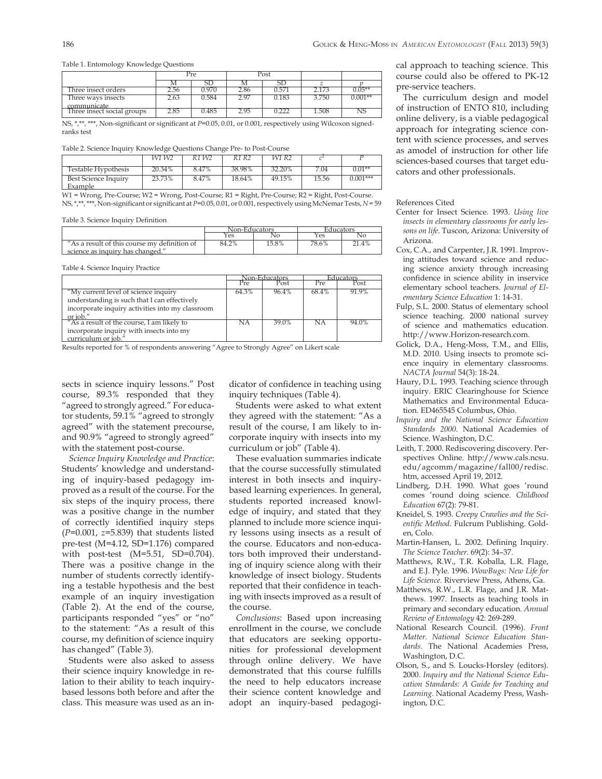Table 1. Entomology Knowledge Questions

|                            | rre        |       | -'ost |                |       |           |
|----------------------------|------------|-------|-------|----------------|-------|-----------|
|                            | <b>IVI</b> | SL    | 1V1   |                |       |           |
| Three insect orders        | 2.56       | 0.970 | 2.86  | $0.57^{\circ}$ | 2.173 | $0.05***$ |
| Three ways insects         | 2.63       | 0.584 | 2.97  | 0.183          | 3.750 | $0.001**$ |
| communicate                |            |       |       |                |       |           |
| Three insect social groups | 2.85       | J.485 | .95   |                | 1.508 | N5        |

NS, \*,\*\*, \*\*\*, Non-significant or significant at *P*=0.05, 0.01, or 0.001, respectively using Wilcoxon signedranks test

Table 2. Science Inquiry Knowledge Questions Change Pre- to Post-Course

|                      | W1 W2  | KI W2 |        | WI Rz  |       |            |
|----------------------|--------|-------|--------|--------|-------|------------|
| Testable Hypothesis  | 20.34% | 8.47% | 38.98% | 32.20% | 7.04  | $0.01**$   |
| Best Science Inquiry | 23.73% | 8.47% | 18.64% | 49.15% | 15.56 | $0.001***$ |
| Example              |        |       |        |        |       |            |

W1 = Wrong, Pre-Course; W2 = Wrong, Post-Course; R1 = Right, Pre-Course; R2 = Right, Post-Course. NS, \*,\*\*, \*\*\*, Non-significant or significant at *P*=0.05, 0.01, or 0.001, respectively using McNemar Tests, *N* = 59

Table 3. Science Inquiry Definition

|                                              | lon.  |       |       |      |
|----------------------------------------------|-------|-------|-------|------|
|                                              | Y es  | 'NO   | Y es  | NG   |
| "As a result of this course my definition of | 84.2% | 15.8% | 78.6% | l.4% |
| science as inquiry has changed."             |       |       |       |      |

Table 4. Science Inquiry Practice

|                                                         | Non-Educators |       | Educators |       |
|---------------------------------------------------------|---------------|-------|-----------|-------|
|                                                         | Pre           | Post  | Pre       | Post  |
| "My current level of science inquiry"                   | 64.3%         | 96.4% | 68.4%     | 91.9% |
| understanding is such that I can effectively            |               |       |           |       |
| incorporate inquiry activities into my classroom        |               |       |           |       |
| -or job."<br>"As a result of the course, I am likely to |               |       |           |       |
|                                                         | NΑ            | 39.0% | NΑ        | 94.0% |
| incorporate inquiry with insects into my                |               |       |           |       |
| curriculum or job."                                     |               |       |           |       |

Results reported for % of respondents answering "Agree to Strongly Agree" on Likert scale

sects in science inquiry lessons." Post course, 89.3% responded that they "agreed to strongly agreed." For educator students, 59.1% "agreed to strongly agreed" with the statement precourse, and 90.9% "agreed to strongly agreed" with the statement post-course.

*Science Inquiry Knowledge and Practice*: Students' knowledge and understanding of inquiry-based pedagogy improved as a result of the course. For the six steps of the inquiry process, there was a positive change in the number of correctly identified inquiry steps (*P*=0.001, *z*=5.839) that students listed pre-test (M=4.12, SD=1.176) compared with post-test (M=5.51, SD=0.704). There was a positive change in the number of students correctly identifying a testable hypothesis and the best example of an inquiry investigation (Table 2). At the end of the course, participants responded "yes" or "no" to the statement: "As a result of this course, my definition of science inquiry has changed" (Table 3).

Students were also asked to assess their science inquiry knowledge in relation to their ability to teach inquirybased lessons both before and after the class. This measure was used as an indicator of confidence in teaching using inquiry techniques (Table 4).

Students were asked to what extent they agreed with the statement: "As a result of the course, I am likely to incorporate inquiry with insects into my curriculum or job" (Table 4).

These evaluation summaries indicate that the course successfully stimulated interest in both insects and inquirybased learning experiences. In general, students reported increased knowledge of inquiry, and stated that they planned to include more science inquiry lessons using insects as a result of the course. Educators and non-educators both improved their understanding of inquiry science along with their knowledge of insect biology. Students reported that their confidence in teaching with insects improved as a result of the course.

*Conclusions*: Based upon increasing enrollment in the course, we conclude that educators are seeking opportunities for professional development through online delivery. We have demonstrated that this course fulfills the need to help educators increase their science content knowledge and adopt an inquiry-based pedagogical approach to teaching science. This course could also be offered to PK-12 pre-service teachers.

The curriculum design and model of instruction of ENTO 810, including online delivery, is a viable pedagogical approach for integrating science content with science processes, and serves as amodel of instruction for other life sciences-based courses that target educators and other professionals.

References Cited

- Center for Insect Science. 1993. *Using live insects in elementary classrooms for early lessons on life*. Tuscon, Arizona: University of Arizona.
- Cox, C.A., and Carpenter, J.R. 1991. Improving attitudes toward science and reducing science anxiety through increasing confidence in science ability in inservice elementary school teachers. *Journal of Elementary Science Education* 1: 14-31.
- Fulp, S.L. 2000. Status of elementary school science teaching. 2000 national survey of science and mathematics education. http://www.Horizon-research.com.
- Golick, D.A., Heng-Moss, T.M., and Ellis, M.D. 2010. Using insects to promote science inquiry in elementary classrooms. *NACTA Journal* 54(3): 18-24.
- Haury, D.L. 1993. Teaching science through inquiry. ERIC Clearinghouse for Science Mathematics and Environmental Education. ED465545 Columbus, Ohio.
- *Inquiry and the National Science Education Standards 2000*. National Academies of Science. Washington, D.C.
- Leith, T. 2000. Rediscovering discovery. Perspectives Online. http://www.cals.ncsu. edu/agcomm/magazine/fall00/redisc. htm, accessed April 19, 2012.
- Lindberg, D.H. 1990. What goes 'round comes 'round doing science. *Childhood Education* 67(2): 79-81.
- Kneidel, S. 1993. *Creepy Crawlies and the Scientific Method*. Fulcrum Publishing. Golden, Colo.
- Martin-Hansen, L. 2002. Defining Inquiry. *The Science Teacher*. 69(2): 34–37.
- Matthews, R.W., T.R. Koballa, L.R. Flage, and E.J. Pyle. 1996. *WowBugs: New Life for Life Science*. Riverview Press, Athens, Ga.
- Matthews, R.W., L.R. Flage, and J.R. Matthews. 1997. Insects as teaching tools in primary and secondary education. *Annual Review of Entomology* 42: 269-289.
- National Research Council. (1996). *Front Matter. National Science Education Standards*. The National Academies Press, Washington, D.C.
- Olson, S., and S. Loucks-Horsley (editors). 2000. *Inquiry and the National Science Education Standards: A Guide for Teaching and Learning*. National Academy Press, Washington, D.C.